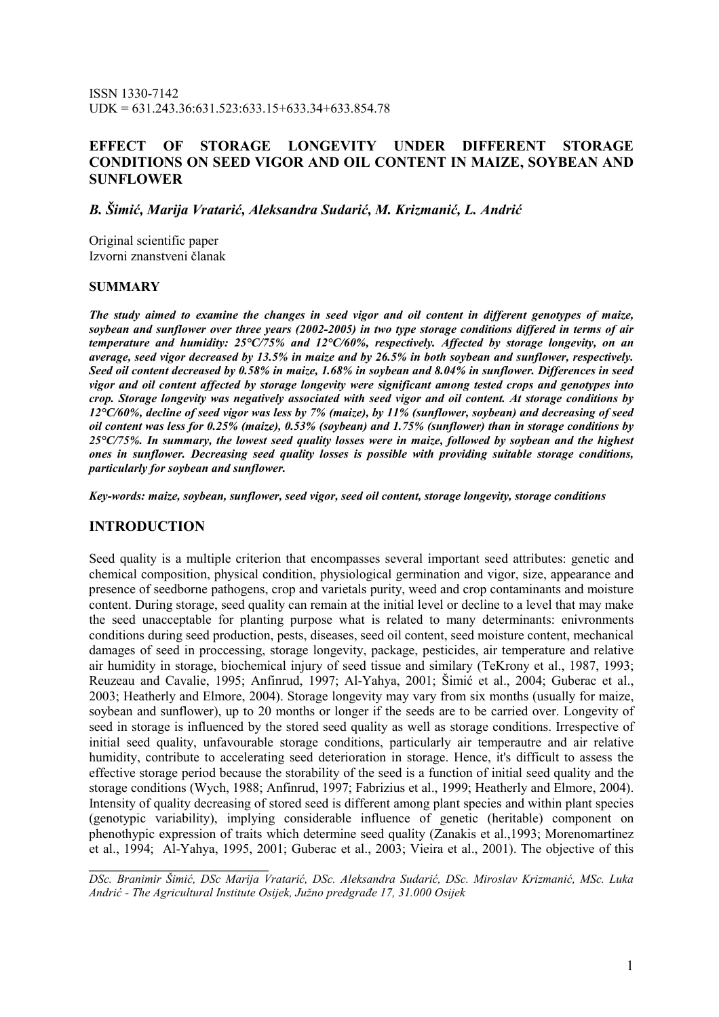ISSN 1330-7142 UDK = 631.243.36:631.523:633.15+633.34+633.854.78

## EFFECT OF STORAGE LONGEVITY UNDER DIFFERENT STORAGE CONDITIONS ON SEED VIGOR AND OIL CONTENT IN MAIZE, SOYBEAN AND **SUNFLOWER**

B. Šimić, Marija Vratarić, Aleksandra Sudarić, M. Krizmanić, L. Andrić

Original scientific paper Izvorni znanstveni članak

### **SUMMARY**

The study aimed to examine the changes in seed vigor and oil content in different genotypes of maize, soybean and sunflower over three years (2002-2005) in two type storage conditions differed in terms of air temperature and humidity: 25°C/75% and 12°C/60%, respectively. Affected by storage longevity, on an average, seed vigor decreased by 13.5% in maize and by 26.5% in both soybean and sunflower, respectively. Seed oil content decreased by 0.58% in maize, 1.68% in soybean and 8.04% in sunflower. Differences in seed vigor and oil content affected by storage longevity were significant among tested crops and genotypes into crop. Storage longevity was negatively associated with seed vigor and oil content. At storage conditions by 12°C/60%, decline of seed vigor was less by 7% (maize), by 11% (sunflower, soybean) and decreasing of seed oil content was less for 0.25% (maize), 0.53% (soybean) and 1.75% (sunflower) than in storage conditions by  $25^{\circ}$ C/75%. In summary, the lowest seed quality losses were in maize, followed by soybean and the highest ones in sunflower. Decreasing seed quality losses is possible with providing suitable storage conditions, particularly for soybean and sunflower.

Key-words: maize, soybean, sunflower, seed vigor, seed oil content, storage longevity, storage conditions

### INTRODUCTION

\_\_\_\_\_\_\_\_\_\_\_\_\_\_\_\_\_\_\_\_\_\_\_\_\_\_\_

Seed quality is a multiple criterion that encompasses several important seed attributes: genetic and chemical composition, physical condition, physiological germination and vigor, size, appearance and presence of seedborne pathogens, crop and varietals purity, weed and crop contaminants and moisture content. During storage, seed quality can remain at the initial level or decline to a level that may make the seed unacceptable for planting purpose what is related to many determinants: enivronments conditions during seed production, pests, diseases, seed oil content, seed moisture content, mechanical damages of seed in proccessing, storage longevity, package, pesticides, air temperature and relative air humidity in storage, biochemical injury of seed tissue and similary (TeKrony et al., 1987, 1993; Reuzeau and Cavalie, 1995; Anfinrud, 1997; Al-Yahya, 2001; Šimić et al., 2004; Guberac et al., 2003; Heatherly and Elmore, 2004). Storage longevity may vary from six months (usually for maize, soybean and sunflower), up to 20 months or longer if the seeds are to be carried over. Longevity of seed in storage is influenced by the stored seed quality as well as storage conditions. Irrespective of initial seed quality, unfavourable storage conditions, particularly air temperautre and air relative humidity, contribute to accelerating seed deterioration in storage. Hence, it's difficult to assess the effective storage period because the storability of the seed is a function of initial seed quality and the storage conditions (Wych, 1988; Anfinrud, 1997; Fabrizius et al., 1999; Heatherly and Elmore, 2004). Intensity of quality decreasing of stored seed is different among plant species and within plant species (genotypic variability), implying considerable influence of genetic (heritable) component on phenothypic expression of traits which determine seed quality (Zanakis et al.,1993; Morenomartinez et al., 1994; Al-Yahya, 1995, 2001; Guberac et al., 2003; Vieira et al., 2001). The objective of this

DSc. Branimir Šimić, DSc Marija Vratarić, DSc. Aleksandra Sudarić, DSc. Miroslav Krizmanić, MSc. Luka Andrić - The Agricultural Institute Osijek, Južno predgrañe 17, 31.000 Osijek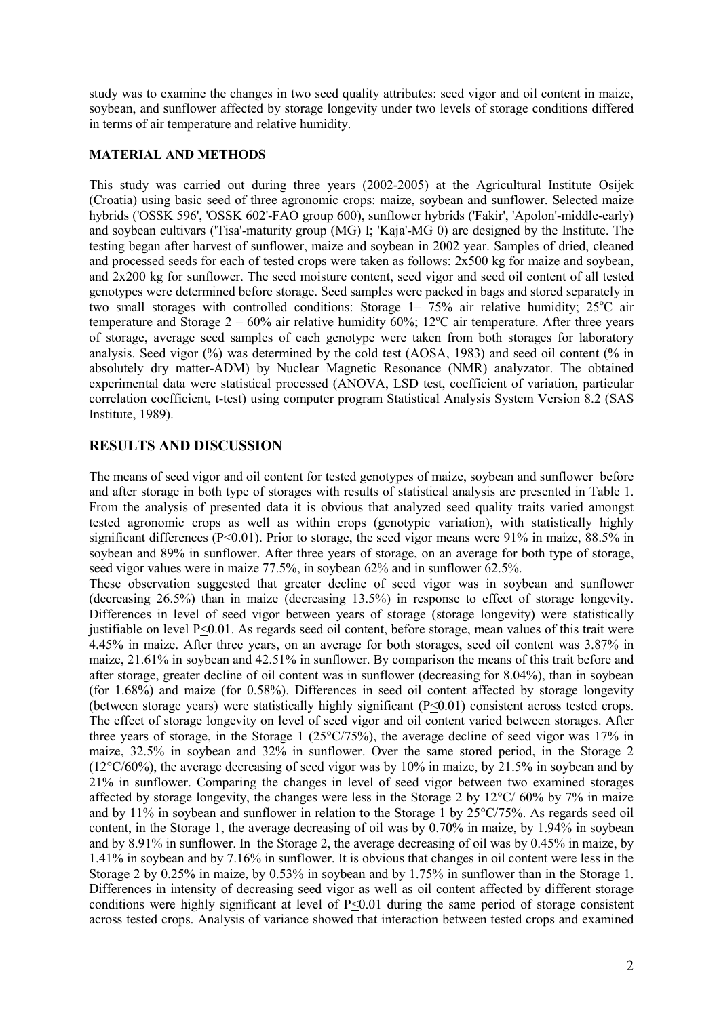study was to examine the changes in two seed quality attributes: seed vigor and oil content in maize, soybean, and sunflower affected by storage longevity under two levels of storage conditions differed in terms of air temperature and relative humidity.

### MATERIAL AND METHODS

This study was carried out during three years (2002-2005) at the Agricultural Institute Osijek (Croatia) using basic seed of three agronomic crops: maize, soybean and sunflower. Selected maize hybrids ('OSSK 596', 'OSSK 602'-FAO group 600), sunflower hybrids ('Fakir', 'Apolon'-middle-early) and soybean cultivars ('Tisa'-maturity group (MG) I; 'Kaja'-MG 0) are designed by the Institute. The testing began after harvest of sunflower, maize and soybean in 2002 year. Samples of dried, cleaned and processed seeds for each of tested crops were taken as follows: 2x500 kg for maize and soybean, and 2x200 kg for sunflower. The seed moisture content, seed vigor and seed oil content of all tested genotypes were determined before storage. Seed samples were packed in bags and stored separately in two small storages with controlled conditions: Storage  $1-75\%$  air relative humidity;  $25^{\circ}$ C air temperature and Storage  $2 - 60\%$  air relative humidity 60%;  $12\degree$ C air temperature. After three years of storage, average seed samples of each genotype were taken from both storages for laboratory analysis. Seed vigor (%) was determined by the cold test (AOSA, 1983) and seed oil content (% in absolutely dry matter-ADM) by Nuclear Magnetic Resonance (NMR) analyzator. The obtained experimental data were statistical processed (ANOVA, LSD test, coefficient of variation, particular correlation coefficient, t-test) using computer program Statistical Analysis System Version 8.2 (SAS Institute, 1989).

## RESULTS AND DISCUSSION

The means of seed vigor and oil content for tested genotypes of maize, soybean and sunflower before and after storage in both type of storages with results of statistical analysis are presented in Table 1. From the analysis of presented data it is obvious that analyzed seed quality traits varied amongst tested agronomic crops as well as within crops (genotypic variation), with statistically highly significant differences (P<0.01). Prior to storage, the seed vigor means were 91% in maize, 88.5% in soybean and 89% in sunflower. After three years of storage, on an average for both type of storage, seed vigor values were in maize 77.5%, in soybean 62% and in sunflower 62.5%.

These observation suggested that greater decline of seed vigor was in soybean and sunflower (decreasing 26.5%) than in maize (decreasing 13.5%) in response to effect of storage longevity. Differences in level of seed vigor between years of storage (storage longevity) were statistically justifiable on level P<0.01. As regards seed oil content, before storage, mean values of this trait were 4.45% in maize. After three years, on an average for both storages, seed oil content was 3.87% in maize, 21.61% in soybean and 42.51% in sunflower. By comparison the means of this trait before and after storage, greater decline of oil content was in sunflower (decreasing for 8.04%), than in soybean (for 1.68%) and maize (for 0.58%). Differences in seed oil content affected by storage longevity (between storage years) were statistically highly significant (P<0.01) consistent across tested crops. The effect of storage longevity on level of seed vigor and oil content varied between storages. After three years of storage, in the Storage 1 ( $25^{\circ}$ C/75%), the average decline of seed vigor was 17% in maize, 32.5% in soybean and 32% in sunflower. Over the same stored period, in the Storage 2 (12°C/60%), the average decreasing of seed vigor was by 10% in maize, by 21.5% in soybean and by 21% in sunflower. Comparing the changes in level of seed vigor between two examined storages affected by storage longevity, the changes were less in the Storage 2 by  $12^{\circ}C/60\%$  by 7% in maize and by 11% in soybean and sunflower in relation to the Storage 1 by 25°C/75%. As regards seed oil content, in the Storage 1, the average decreasing of oil was by 0.70% in maize, by 1.94% in soybean and by 8.91% in sunflower. In the Storage 2, the average decreasing of oil was by 0.45% in maize, by 1.41% in soybean and by 7.16% in sunflower. It is obvious that changes in oil content were less in the Storage 2 by 0.25% in maize, by 0.53% in soybean and by 1.75% in sunflower than in the Storage 1. Differences in intensity of decreasing seed vigor as well as oil content affected by different storage conditions were highly significant at level of P<0.01 during the same period of storage consistent across tested crops. Analysis of variance showed that interaction between tested crops and examined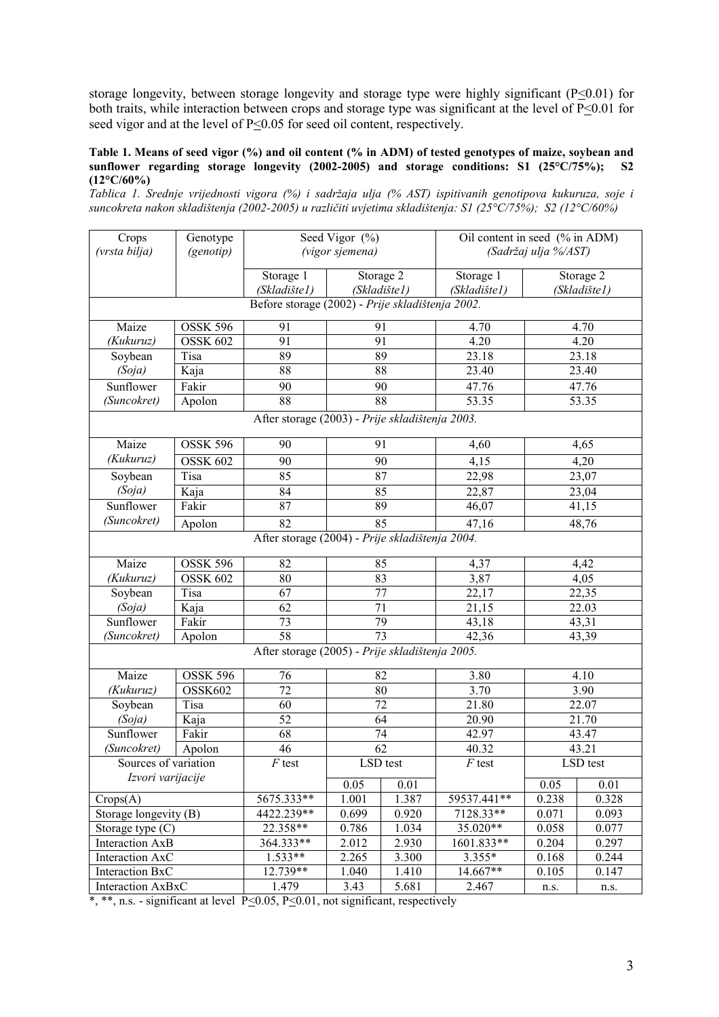storage longevity, between storage longevity and storage type were highly significant ( $P \le 0.01$ ) for both traits, while interaction between crops and storage type was significant at the level of  $P \le 0.01$  for seed vigor and at the level of P<0.05 for seed oil content, respectively.

#### Table 1. Means of seed vigor (%) and oil content (% in ADM) of tested genotypes of maize, soybean and sunflower regarding storage longevity (2002-2005) and storage conditions: S1 (25°C/75%); S2 sunflower regarding storage longevity (2002-2005) and storage conditions: S1 (25 $^{\circ}$ C/75%);  $(12^{\circ}C/60\%)$

Tablica 1. Srednje vrijednosti vigora (%) i sadržaja ulja (% AST) ispitivanih genotipova kukuruza, soje i suncokreta nakon skladištenja (2002-2005) u različiti uvjetima skladištenja: S1 (25°C/75%); S2 (12°C/60%)

| Crops<br>(vrsta bilja)                           | Genotype<br>(genotip) | Seed Vigor (%)<br>(vigor sjemena) |                 | Oil content in seed (% in ADM)<br>(Sadržaj ulja %/AST) |              |                    |              |  |  |
|--------------------------------------------------|-----------------------|-----------------------------------|-----------------|--------------------------------------------------------|--------------|--------------------|--------------|--|--|
|                                                  |                       |                                   |                 |                                                        |              |                    |              |  |  |
|                                                  |                       | Storage 1                         |                 | Storage 2                                              | Storage 1    |                    | Storage 2    |  |  |
|                                                  |                       | (Skladište1)                      | (Skladište1)    |                                                        | (Skladište1) |                    | (Skladište1) |  |  |
| Before storage (2002) - Prije skladištenja 2002. |                       |                                   |                 |                                                        |              |                    |              |  |  |
| Maize                                            | <b>OSSK 596</b>       | 91                                | 91              |                                                        | 4.70         |                    | 4.70         |  |  |
| (Kukuruz)                                        | <b>OSSK 602</b>       | $\overline{91}$                   | $\overline{91}$ |                                                        | 4.20         | 4.20               |              |  |  |
| Soybean                                          | <b>Tisa</b>           | 89                                |                 | 89                                                     | 23.18        | 23.18              |              |  |  |
| (Soja)                                           | Kaja                  | $\overline{88}$                   | 88              |                                                        | 23.40        | 23.40              |              |  |  |
| Sunflower                                        | Fakir                 | 90                                | 90              |                                                        | 47.76        | 47.76              |              |  |  |
| (Suncokret)                                      | Apolon                | 88                                |                 | 88                                                     | 53.35        | 53.35              |              |  |  |
| After storage (2003) - Prije skladištenja 2003.  |                       |                                   |                 |                                                        |              |                    |              |  |  |
| Maize                                            | OSSK 596              | 90                                | 91              |                                                        | 4,60         |                    | 4,65         |  |  |
| (Kukuruz)                                        | <b>OSSK 602</b>       | 90                                |                 | 90                                                     | 4,15         |                    | 4,20         |  |  |
| Soybean                                          | Tisa                  | 85                                | $\overline{87}$ |                                                        | 22,98        |                    | 23,07        |  |  |
| (Soja)                                           | Kaja                  | 84                                | 85              |                                                        | 22,87        | 23,04              |              |  |  |
| Sunflower                                        | Fakir                 | $\overline{87}$                   | 89              |                                                        | 46,07        | $41,\overline{15}$ |              |  |  |
| (Suncokret)                                      | Apolon                | 82                                | 85              |                                                        | 47,16        | 48,76              |              |  |  |
| After storage (2004) - Prije skladištenja 2004.  |                       |                                   |                 |                                                        |              |                    |              |  |  |
| Maize                                            | <b>OSSK 596</b>       | 82                                | 85              |                                                        | 4,37         |                    | 4,42         |  |  |
| (Kukuruz)                                        | <b>OSSK 602</b>       | 80                                | 83              |                                                        | 3,87         | 4,05               |              |  |  |
| Soybean                                          | Tisa                  | 67                                | 77              |                                                        | 22,17        | 22,35              |              |  |  |
| (Soja)                                           | Kaja                  | 62                                | 71              |                                                        | 21,15        | 22.03              |              |  |  |
| Sunflower                                        | Fakir                 | 73                                | 79              |                                                        | 43,18        | 43,31              |              |  |  |
| (Suncokret)                                      | Apolon                | 58                                | 73              |                                                        | 42,36        | 43,39              |              |  |  |
| After storage (2005) - Prije skladištenja 2005.  |                       |                                   |                 |                                                        |              |                    |              |  |  |
| Maize                                            | <b>OSSK 596</b>       | 76                                | 82              |                                                        | 3.80         | 4.10               |              |  |  |
| (Kukuruz)                                        | OSSK602               | 72                                | 80              |                                                        | 3.70         | 3.90               |              |  |  |
| Soybean                                          | Tisa                  | 60                                | 72              |                                                        | 21.80        | 22.07              |              |  |  |
| (Soja)                                           | Kaja                  | 52                                | $\overline{64}$ |                                                        | 20.90        | 21.70              |              |  |  |
| Sunflower                                        | Fakir                 | 68                                | 74              |                                                        | 42.97        | 43.47              |              |  |  |
| (Suncokret)                                      | Apolon                | 46                                | 62              |                                                        | 40.32        | 43.21              |              |  |  |
| Sources of variation                             |                       | $F$ test                          | LSD test        |                                                        | $F$ test     | LSD test           |              |  |  |
| Izvori varijacije                                |                       |                                   | 0.05            | 0.01                                                   |              | 0.05               | 0.01         |  |  |
| Crops(A)                                         |                       | 5675.333**                        | 1.001           | 1.387                                                  | 59537.441**  | 0.238              | 0.328        |  |  |
| Storage longevity (B)                            |                       | 4422.239**                        | 0.699           | 0.920                                                  | 7128.33**    | 0.071              | 0.093        |  |  |
| Storage type $(C)$                               |                       | 22.358**                          | 0.786           | 1.034                                                  | 35.020**     | 0.058              | 0.077        |  |  |
| <b>Interaction AxB</b>                           |                       | 364.333**                         | 2.012           | 2.930                                                  | 1601.833**   | 0.204              | 0.297        |  |  |
| Interaction AxC                                  |                       | $1.533**$                         | 2.265           | 3.300                                                  | 3.355*       | 0.168              | 0.244        |  |  |
| Interaction BxC                                  |                       | $12.739**$                        | 1.040           | 1.410                                                  | 14.667**     | 0.105              | 0.147        |  |  |
| Interaction AxBxC                                |                       | 1.479                             | 3.43            | 5.681                                                  | 2.467        | n.s.               | n.s.         |  |  |

\*, \*\*, n.s. - significant at level P<0.05, P<0.01, not significant, respectively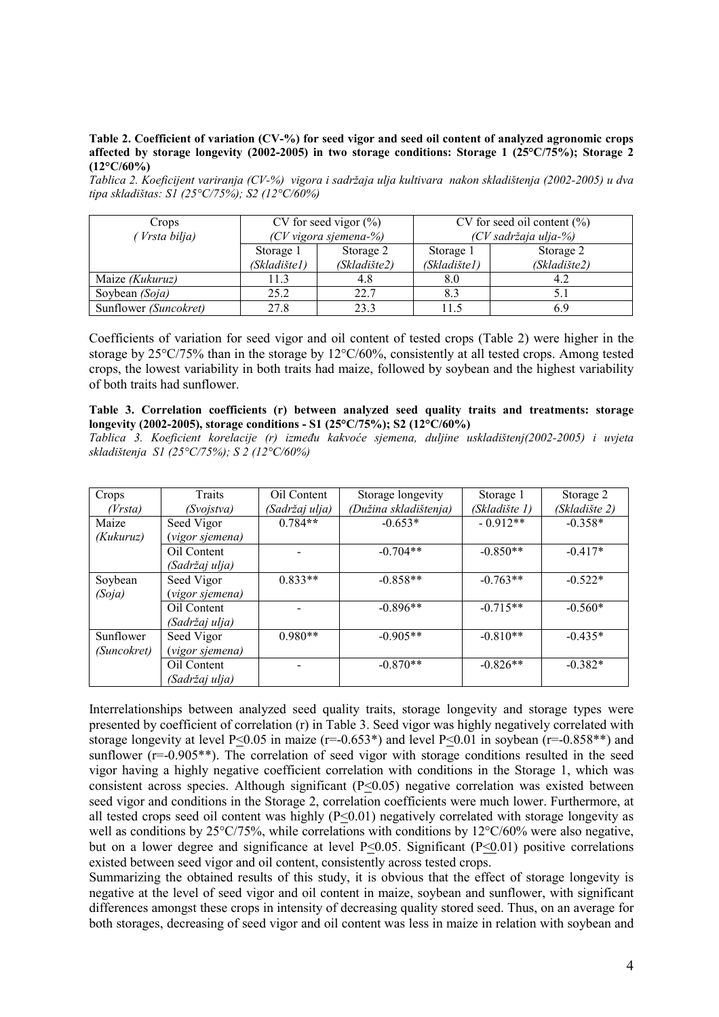#### Table 2. Coefficient of variation (CV-%) for seed vigor and seed oil content of analyzed agronomic crops affected by storage longevity (2002-2005) in two storage conditions: Storage 1 (25°C/75%); Storage 2 (12°C/60%)

Tablica 2. Koeficijent variranja (CV-%) vigora i sadržaja ulja kultivara nakon skladištenja (2002-2005) u dva tipa skladištas: S1 (25°C/75%); S2 (12°C/60%)

| Crops                  | CV for seed vigor $(\%)$ |              | CV for seed oil content $(\% )$ |              |  |
|------------------------|--------------------------|--------------|---------------------------------|--------------|--|
| Vrsta bilja)           | (CV vigora sjemena-%)    |              | (CV sadržaja ulja-%)            |              |  |
|                        | Storage 1                | Storage 2    | Storage 1                       | Storage 2    |  |
|                        | (Skladište1)             | (Skladište2) | (Skladište1)                    | (Skladište2) |  |
| Maize <i>(Kukuruz)</i> | 11.3                     | 4.8          | 8.0                             | 4.2          |  |
| Soybean (Soja)         | 25.2                     | 22.7         | 8.3                             |              |  |
| Sunflower (Suncokret)  | 27.8                     | 23.3         | 1.5                             | 6 Y          |  |

Coefficients of variation for seed vigor and oil content of tested crops (Table 2) were higher in the storage by 25°C/75% than in the storage by 12°C/60%, consistently at all tested crops. Among tested crops, the lowest variability in both traits had maize, followed by soybean and the highest variability of both traits had sunflower.

#### Table 3. Correlation coefficients (r) between analyzed seed quality traits and treatments: storage longevity (2002-2005), storage conditions - S1 (25°C/75%); S2 (12°C/60%)

Tablica 3. Koeficient korelacije (r) izmeñu kakvoće sjemena, duljine uskladištenj(2002-2005) i uvjeta skladištenja S1 (25°C/75%); S 2 (12°C/60%)

| Crops       | Traits          | Oil Content    | Storage longevity     | Storage 1     | Storage 2     |
|-------------|-----------------|----------------|-----------------------|---------------|---------------|
| (Vrsta)     | (Svojstva)      | (Sadržaj ulja) | (Dužina skladištenja) | (Skladište 1) | (Skladište 2) |
| Maize       | Seed Vigor      | $0.784**$      | $-0.653*$             | $-0.912**$    | $-0.358*$     |
| (Kukuruz)   | (vigor sjemena) |                |                       |               |               |
|             | Oil Content     |                | $-0.704**$            | $-0.850**$    | $-0.417*$     |
|             | (Sadržaj ulja)  |                |                       |               |               |
| Soybean     | Seed Vigor      | $0.833**$      | $-0.858**$            | $-0.763**$    | $-0.522*$     |
| (Soja)      | (vigor sjemena) |                |                       |               |               |
|             | Oil Content     |                | $-0.896**$            | $-0.715**$    | $-0.560*$     |
|             | (Sadržaj ulja)  |                |                       |               |               |
| Sunflower   | Seed Vigor      | $0.980**$      | $-0.905**$            | $-0.810**$    | $-0.435*$     |
| (Suncokret) | (vigor sjemena) |                |                       |               |               |
|             | Oil Content     |                | $-0.870**$            | $-0.826**$    | $-0.382*$     |
|             | (Sadržaj ulja)  |                |                       |               |               |

Interrelationships between analyzed seed quality traits, storage longevity and storage types were presented by coefficient of correlation (r) in Table 3. Seed vigor was highly negatively correlated with storage longevity at level P<0.05 in maize ( $r=0.653*$ ) and level P<0.01 in soybean ( $r=0.858**$ ) and sunflower  $(r=-0.905**)$ . The correlation of seed vigor with storage conditions resulted in the seed vigor having a highly negative coefficient correlation with conditions in the Storage 1, which was consistent across species. Although significant  $(P \le 0.05)$  negative correlation was existed between seed vigor and conditions in the Storage 2, correlation coefficients were much lower. Furthermore, at all tested crops seed oil content was highly  $(P \le 0.01)$  negatively correlated with storage longevity as well as conditions by 25°C/75%, while correlations with conditions by 12°C/60% were also negative, but on a lower degree and significance at level  $P<0.05$ . Significant ( $P<0.01$ ) positive correlations existed between seed vigor and oil content, consistently across tested crops.

Summarizing the obtained results of this study, it is obvious that the effect of storage longevity is negative at the level of seed vigor and oil content in maize, soybean and sunflower, with significant differences amongst these crops in intensity of decreasing quality stored seed. Thus, on an average for both storages, decreasing of seed vigor and oil content was less in maize in relation with soybean and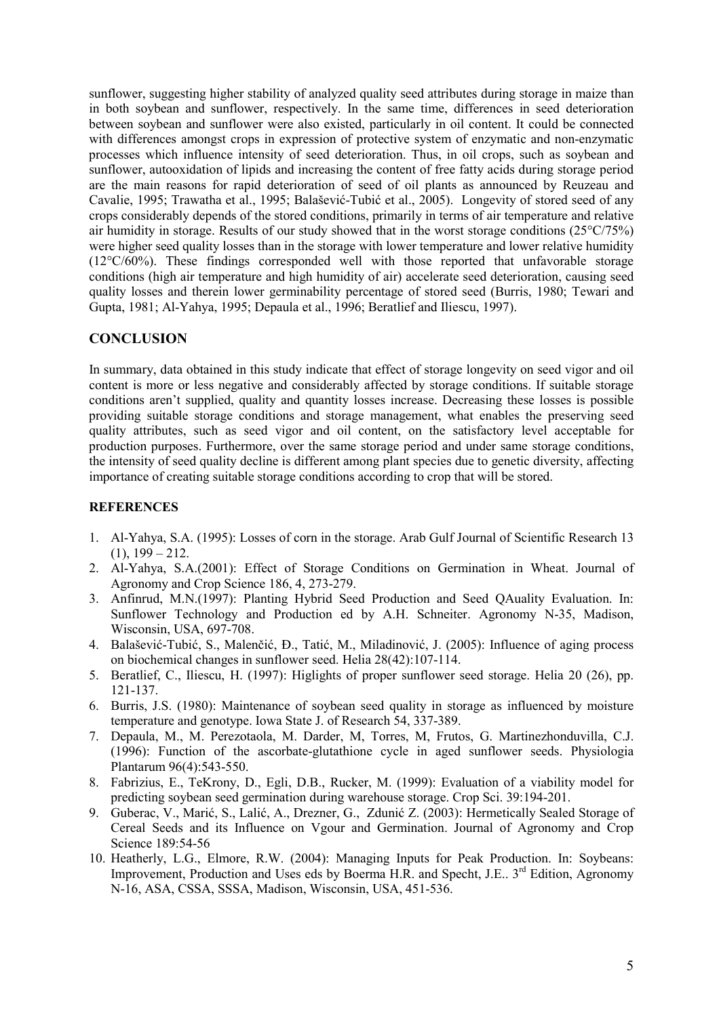sunflower, suggesting higher stability of analyzed quality seed attributes during storage in maize than in both soybean and sunflower, respectively. In the same time, differences in seed deterioration between soybean and sunflower were also existed, particularly in oil content. It could be connected with differences amongst crops in expression of protective system of enzymatic and non-enzymatic processes which influence intensity of seed deterioration. Thus, in oil crops, such as soybean and sunflower, autooxidation of lipids and increasing the content of free fatty acids during storage period are the main reasons for rapid deterioration of seed of oil plants as announced by Reuzeau and Cavalie, 1995; Trawatha et al., 1995; Balašević-Tubić et al., 2005). Longevity of stored seed of any crops considerably depends of the stored conditions, primarily in terms of air temperature and relative air humidity in storage. Results of our study showed that in the worst storage conditions (25°C/75%) were higher seed quality losses than in the storage with lower temperature and lower relative humidity (12°C/60%). These findings corresponded well with those reported that unfavorable storage conditions (high air temperature and high humidity of air) accelerate seed deterioration, causing seed quality losses and therein lower germinability percentage of stored seed (Burris, 1980; Tewari and Gupta, 1981; Al-Yahya, 1995; Depaula et al., 1996; Beratlief and Iliescu, 1997).

# **CONCLUSION**

In summary, data obtained in this study indicate that effect of storage longevity on seed vigor and oil content is more or less negative and considerably affected by storage conditions. If suitable storage conditions aren't supplied, quality and quantity losses increase. Decreasing these losses is possible providing suitable storage conditions and storage management, what enables the preserving seed quality attributes, such as seed vigor and oil content, on the satisfactory level acceptable for production purposes. Furthermore, over the same storage period and under same storage conditions, the intensity of seed quality decline is different among plant species due to genetic diversity, affecting importance of creating suitable storage conditions according to crop that will be stored.

### **REFERENCES**

- 1. Al-Yahya, S.A. (1995): Losses of corn in the storage. Arab Gulf Journal of Scientific Research 13  $(1)$ , 199 – 212.
- 2. Al-Yahya, S.A.(2001): Effect of Storage Conditions on Germination in Wheat. Journal of Agronomy and Crop Science 186, 4, 273-279.
- 3. Anfinrud, M.N.(1997): Planting Hybrid Seed Production and Seed QAuality Evaluation. In: Sunflower Technology and Production ed by A.H. Schneiter. Agronomy N-35, Madison, Wisconsin, USA, 697-708.
- 4. Balašević-Tubić, S., Malenčić, ð., Tatić, M., Miladinović, J. (2005): Influence of aging process on biochemical changes in sunflower seed. Helia 28(42):107-114.
- 5. Beratlief, C., Iliescu, H. (1997): Higlights of proper sunflower seed storage. Helia 20 (26), pp. 121-137.
- 6. Burris, J.S. (1980): Maintenance of soybean seed quality in storage as influenced by moisture temperature and genotype. Iowa State J. of Research 54, 337-389.
- 7. Depaula, M., M. Perezotaola, M. Darder, M, Torres, M, Frutos, G. Martinezhonduvilla, C.J. (1996): Function of the ascorbate-glutathione cycle in aged sunflower seeds. Physiologia Plantarum 96(4):543-550.
- 8. Fabrizius, E., TeKrony, D., Egli, D.B., Rucker, M. (1999): Evaluation of a viability model for predicting soybean seed germination during warehouse storage. Crop Sci. 39:194-201.
- 9. Guberac, V., Marić, S., Lalić, A., Drezner, G., Zdunić Z. (2003): Hermetically Sealed Storage of Cereal Seeds and its Influence on Vgour and Germination. Journal of Agronomy and Crop Science 189:54-56
- 10. Heatherly, L.G., Elmore, R.W. (2004): Managing Inputs for Peak Production. In: Soybeans: Improvement, Production and Uses eds by Boerma H.R. and Specht, J.E., 3<sup>rd</sup> Edition, Agronomy N-16, ASA, CSSA, SSSA, Madison, Wisconsin, USA, 451-536.